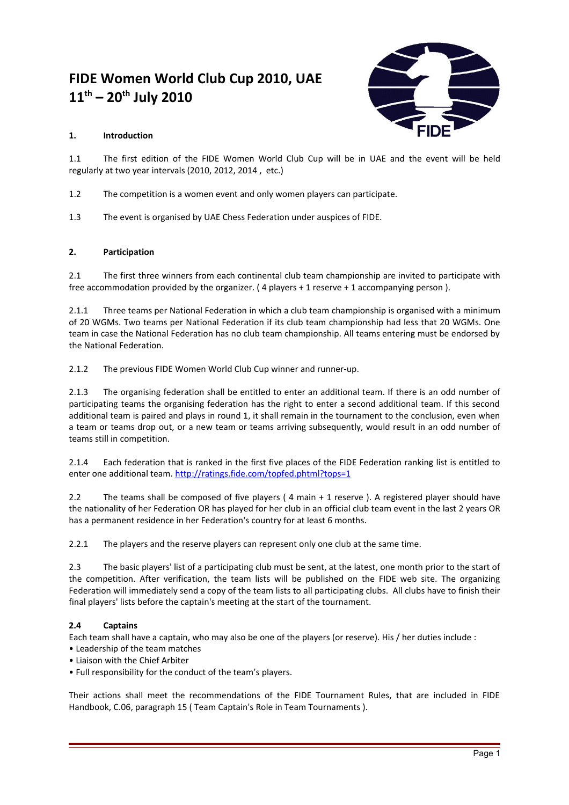# **FIDE Women World Club Cup 2010, UAE 11th – 20th July 2010**



# **1. Introduction**

1.1 The first edition of the FIDE Women World Club Cup will be in UAE and the event will be held regularly at two year intervals (2010, 2012, 2014 , etc.)

- 1.2 The competition is a women event and only women players can participate.
- 1.3 The event is organised by UAE Chess Federation under auspices of FIDE.

# **2. Participation**

2.1 The first three winners from each continental club team championship are invited to participate with free accommodation provided by the organizer. ( 4 players + 1 reserve + 1 accompanying person ).

2.1.1 Three teams per National Federation in which a club team championship is organised with a minimum of 20 WGMs. Two teams per National Federation if its club team championship had less that 20 WGMs. One team in case the National Federation has no club team championship. All teams entering must be endorsed by the National Federation.

2.1.2 The previous FIDE Women World Club Cup winner and runner-up.

2.1.3 The organising federation shall be entitled to enter an additional team. If there is an odd number of participating teams the organising federation has the right to enter a second additional team. If this second additional team is paired and plays in round 1, it shall remain in the tournament to the conclusion, even when a team or teams drop out, or a new team or teams arriving subsequently, would result in an odd number of teams still in competition.

2.1.4 Each federation that is ranked in the first five places of the FIDE Federation ranking list is entitled to enter one additional team.<http://ratings.fide.com/topfed.phtml?tops=1>

2.2 The teams shall be composed of five players (4 main + 1 reserve ). A registered player should have the nationality of her Federation OR has played for her club in an official club team event in the last 2 years OR has a permanent residence in her Federation's country for at least 6 months.

2.2.1 The players and the reserve players can represent only one club at the same time.

2.3 The basic players' list of a participating club must be sent, at the latest, one month prior to the start of the competition. After verification, the team lists will be published on the FIDE web site. The organizing Federation will immediately send a copy of the team lists to all participating clubs. All clubs have to finish their final players' lists before the captain's meeting at the start of the tournament.

# **2.4 Captains**

Each team shall have a captain, who may also be one of the players (or reserve). His / her duties include :

- Leadership of the team matches
- Liaison with the Chief Arbiter
- Full responsibility for the conduct of the team's players.

Their actions shall meet the recommendations of the FIDE Tournament Rules, that are included in FIDE Handbook, C.06, paragraph 15 ( Team Captain's Role in Team Tournaments ).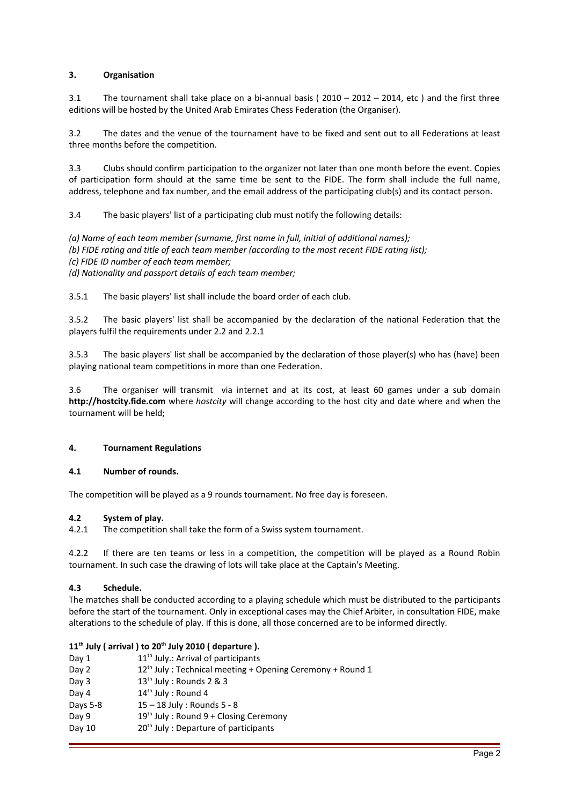# **3. Organisation**

3.1 The tournament shall take place on a bi-annual basis ( 2010 – 2012 – 2014, etc ) and the first three editions will be hosted by the United Arab Emirates Chess Federation (the Organiser).

3.2 The dates and the venue of the tournament have to be fixed and sent out to all Federations at least three months before the competition.

3.3 Clubs should confirm participation to the organizer not later than one month before the event. Copies of participation form should at the same time be sent to the FIDE. The form shall include the full name, address, telephone and fax number, and the email address of the participating club(s) and its contact person.

3.4 The basic players' list of a participating club must notify the following details:

*(a) Name of each team member (surname, first name in full, initial of additional names); (b) FIDE rating and title of each team member (according to the most recent FIDE rating list); (c) FIDE ID number of each team member; (d) Nationality and passport details of each team member;*

3.5.1 The basic players' list shall include the board order of each club.

3.5.2 The basic players' list shall be accompanied by the declaration of the national Federation that the players fulfil the requirements under 2.2 and 2.2.1

3.5.3 The basic players' list shall be accompanied by the declaration of those player(s) who has (have) been playing national team competitions in more than one Federation.

3.6 The organiser will transmit via internet and at its cost, at least 60 games under a sub domain **http://hostcity.fide.com** where *hostcity* will change according to the host city and date where and when the tournament will be held;

#### **4. Tournament Regulations**

#### **4.1 Number of rounds.**

The competition will be played as a 9 rounds tournament. No free day is foreseen.

#### **4.2 System of play.**

4.2.1 The competition shall take the form of a Swiss system tournament.

4.2.2 If there are ten teams or less in a competition, the competition will be played as a Round Robin tournament. In such case the drawing of lots will take place at the Captain's Meeting.

#### **4.3 Schedule.**

The matches shall be conducted according to a playing schedule which must be distributed to the participants before the start of the tournament. Only in exceptional cases may the Chief Arbiter, in consultation FIDE, make alterations to the schedule of play. If this is done, all those concerned are to be informed directly.

#### **11th July ( arrival ) to 20th July 2010 ( departure ).**

| Day 1            | 11 <sup>th</sup> July.: Arrival of participants                       |
|------------------|-----------------------------------------------------------------------|
| Day 2            | 12 <sup>th</sup> July: Technical meeting + Opening Ceremony + Round 1 |
| Day <sub>3</sub> | $13th$ July : Rounds 2 & 3                                            |
| Day 4            | 14 <sup>th</sup> July: Round 4                                        |
| Days 5-8         | $15 - 18$ July: Rounds $5 - 8$                                        |
| Day 9            | $19th$ July: Round 9 + Closing Ceremony                               |
| Day 10           | 20 <sup>th</sup> July: Departure of participants                      |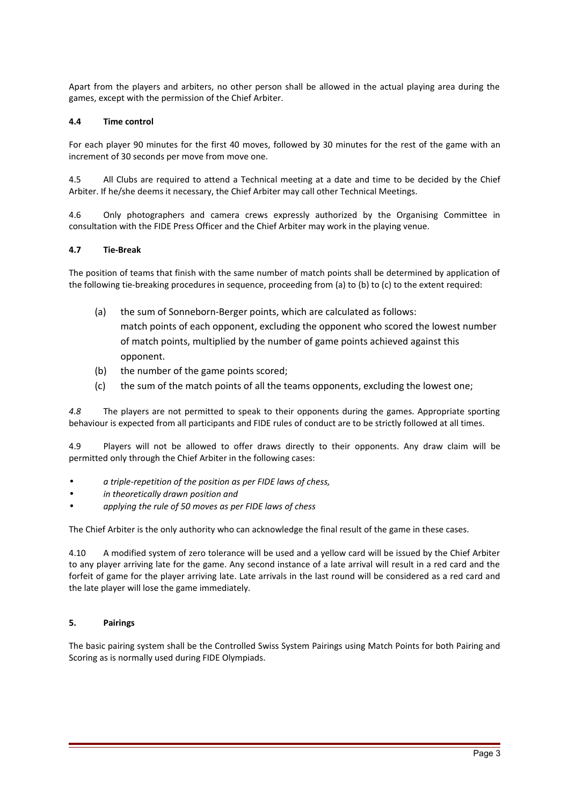Apart from the players and arbiters, no other person shall be allowed in the actual playing area during the games, except with the permission of the Chief Arbiter.

# **4.4 Time control**

For each player 90 minutes for the first 40 moves, followed by 30 minutes for the rest of the game with an increment of 30 seconds per move from move one.

4.5 All Clubs are required to attend a Technical meeting at a date and time to be decided by the Chief Arbiter. If he/she deems it necessary, the Chief Arbiter may call other Technical Meetings.

4.6 Only photographers and camera crews expressly authorized by the Organising Committee in consultation with the FIDE Press Officer and the Chief Arbiter may work in the playing venue.

#### **4.7 Tie-Break**

The position of teams that finish with the same number of match points shall be determined by application of the following tie-breaking procedures in sequence, proceeding from (a) to (b) to (c) to the extent required:

- (a) the sum of Sonneborn-Berger points, which are calculated as follows: match points of each opponent, excluding the opponent who scored the lowest number of match points, multiplied by the number of game points achieved against this opponent.
- (b) the number of the game points scored;
- (c) the sum of the match points of all the teams opponents, excluding the lowest one;

*4.8* The players are not permitted to speak to their opponents during the games. Appropriate sporting behaviour is expected from all participants and FIDE rules of conduct are to be strictly followed at all times.

4.9 Players will not be allowed to offer draws directly to their opponents. Any draw claim will be permitted only through the Chief Arbiter in the following cases:

- *a triple-repetition of the position as per FIDE laws of chess,*
- *in theoretically drawn position and*
- *applying the rule of 50 moves as per FIDE laws of chess*

The Chief Arbiter is the only authority who can acknowledge the final result of the game in these cases.

4.10 A modified system of zero tolerance will be used and a yellow card will be issued by the Chief Arbiter to any player arriving late for the game. Any second instance of a late arrival will result in a red card and the forfeit of game for the player arriving late. Late arrivals in the last round will be considered as a red card and the late player will lose the game immediately.

# **5. Pairings**

The basic pairing system shall be the Controlled Swiss System Pairings using Match Points for both Pairing and Scoring as is normally used during FIDE Olympiads.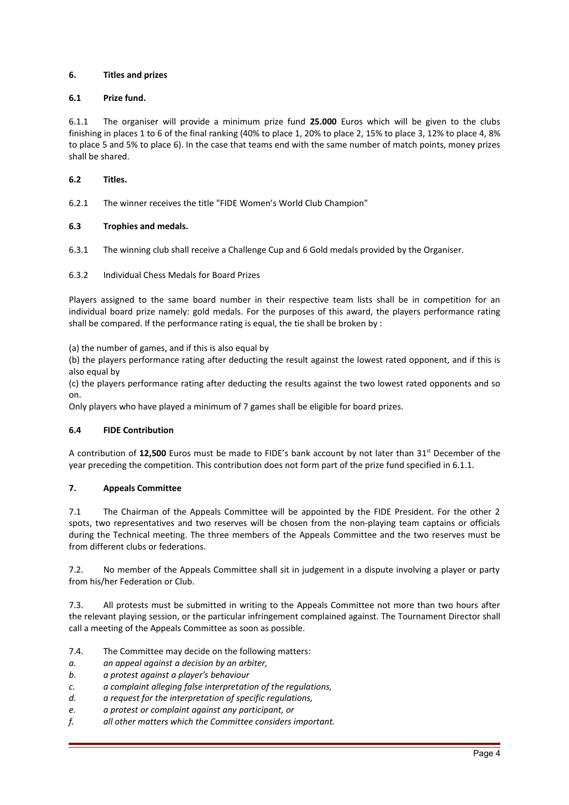# **6. Titles and prizes**

# **6.1 Prize fund.**

6.1.1 The organiser will provide a minimum prize fund **25.000** Euros which will be given to the clubs finishing in places 1 to 6 of the final ranking (40% to place 1, 20% to place 2, 15% to place 3, 12% to place 4, 8% to place 5 and 5% to place 6). In the case that teams end with the same number of match points, money prizes shall be shared.

#### **6.2 Titles.**

6.2.1 The winner receives the title "FIDE Women's World Club Champion"

# **6.3 Trophies and medals.**

6.3.1 The winning club shall receive a Challenge Cup and 6 Gold medals provided by the Organiser.

# 6.3.2 Individual Chess Medals for Board Prizes

Players assigned to the same board number in their respective team lists shall be in competition for an individual board prize namely: gold medals. For the purposes of this award, the players performance rating shall be compared. If the performance rating is equal, the tie shall be broken by :

(a) the number of games, and if this is also equal by

(b) the players performance rating after deducting the result against the lowest rated opponent, and if this is also equal by

(c) the players performance rating after deducting the results against the two lowest rated opponents and so on.

Only players who have played a minimum of 7 games shall be eligible for board prizes.

#### **6.4 FIDE Contribution**

A contribution of 12,500 Euros must be made to FIDE's bank account by not later than 31<sup>st</sup> December of the year preceding the competition. This contribution does not form part of the prize fund specified in 6.1.1.

#### **7. Appeals Committee**

7.1 The Chairman of the Appeals Committee will be appointed by the FIDE President. For the other 2 spots, two representatives and two reserves will be chosen from the non-playing team captains or officials during the Technical meeting. The three members of the Appeals Committee and the two reserves must be from different clubs or federations.

7.2. No member of the Appeals Committee shall sit in judgement in a dispute involving a player or party from his/her Federation or Club.

7.3. All protests must be submitted in writing to the Appeals Committee not more than two hours after the relevant playing session, or the particular infringement complained against. The Tournament Director shall call a meeting of the Appeals Committee as soon as possible.

- 7.4. The Committee may decide on the following matters:
- *a. an appeal against a decision by an arbiter,*
- *b. a protest against a player's behaviour*
- *c. a complaint alleging false interpretation of the regulations,*
- *d. a request for the interpretation of specific regulations,*
- *e. a protest or complaint against any participant, or*
- *f. all other matters which the Committee considers important.*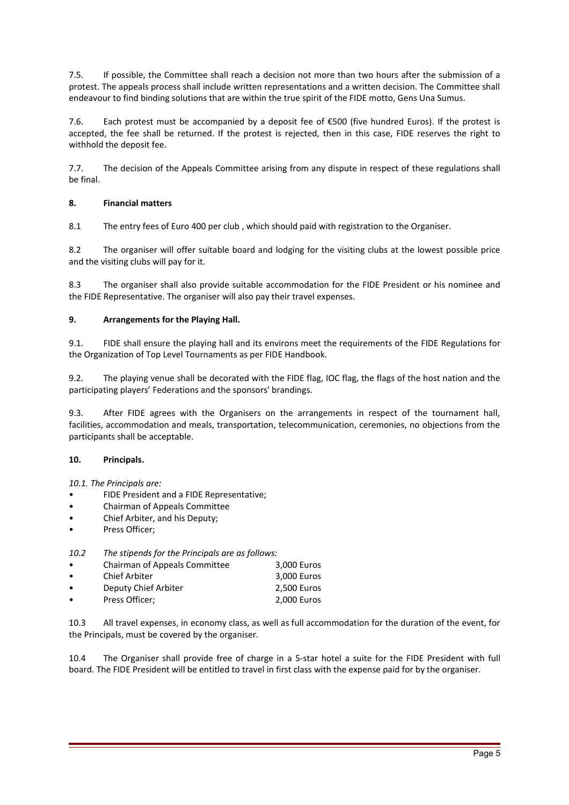7.5. If possible, the Committee shall reach a decision not more than two hours after the submission of a protest. The appeals process shall include written representations and a written decision. The Committee shall endeavour to find binding solutions that are within the true spirit of the FIDE motto, Gens Una Sumus.

7.6. Each protest must be accompanied by a deposit fee of €500 (five hundred Euros). If the protest is accepted, the fee shall be returned. If the protest is rejected, then in this case, FIDE reserves the right to withhold the deposit fee.

7.7. The decision of the Appeals Committee arising from any dispute in respect of these regulations shall be final.

# **8. Financial matters**

8.1 The entry fees of Euro 400 per club , which should paid with registration to the Organiser.

8.2 The organiser will offer suitable board and lodging for the visiting clubs at the lowest possible price and the visiting clubs will pay for it.

8.3 The organiser shall also provide suitable accommodation for the FIDE President or his nominee and the FIDE Representative. The organiser will also pay their travel expenses.

#### **9. Arrangements for the Playing Hall.**

9.1. FIDE shall ensure the playing hall and its environs meet the requirements of the FIDE Regulations for the Organization of Top Level Tournaments as per FIDE Handbook.

9.2. The playing venue shall be decorated with the FIDE flag, IOC flag, the flags of the host nation and the participating players' Federations and the sponsors' brandings.

9.3. After FIDE agrees with the Organisers on the arrangements in respect of the tournament hall, facilities, accommodation and meals, transportation, telecommunication, ceremonies, no objections from the participants shall be acceptable.

#### **10. Principals.**

*10.1. The Principals are:* 

- FIDE President and a FIDE Representative;
- Chairman of Appeals Committee
- Chief Arbiter, and his Deputy;
- Press Officer:

*10.2 The stipends for the Principals are as follows:*

| $\bullet$ | Chairman of Appeals Committee | 3,000 Euros |
|-----------|-------------------------------|-------------|
| $\bullet$ | <b>Chief Arbiter</b>          | 3,000 Euros |
| $\bullet$ | Deputy Chief Arbiter          | 2,500 Euros |
| $\bullet$ | Press Officer;                | 2,000 Euros |

10.3 All travel expenses, in economy class, as well as full accommodation for the duration of the event, for the Principals, must be covered by the organiser.

10.4 The Organiser shall provide free of charge in a 5-star hotel a suite for the FIDE President with full board. The FIDE President will be entitled to travel in first class with the expense paid for by the organiser.